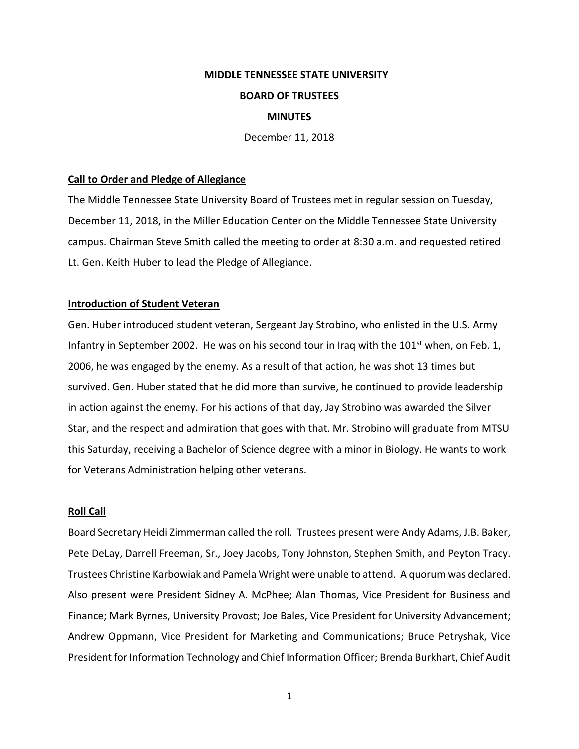# **MIDDLE TENNESSEE STATE UNIVERSITY BOARD OF TRUSTEES MINUTES**

December 11, 2018

# **Call to Order and Pledge of Allegiance**

The Middle Tennessee State University Board of Trustees met in regular session on Tuesday, December 11, 2018, in the Miller Education Center on the Middle Tennessee State University campus. Chairman Steve Smith called the meeting to order at 8:30 a.m. and requested retired Lt. Gen. Keith Huber to lead the Pledge of Allegiance.

# **Introduction of Student Veteran**

Gen. Huber introduced student veteran, Sergeant Jay Strobino, who enlisted in the U.S. Army Infantry in September 2002. He was on his second tour in Iraq with the  $101<sup>st</sup>$  when, on Feb. 1, 2006, he was engaged by the enemy. As a result of that action, he was shot 13 times but survived. Gen. Huber stated that he did more than survive, he continued to provide leadership in action against the enemy. For his actions of that day, Jay Strobino was awarded the Silver Star, and the respect and admiration that goes with that. Mr. Strobino will graduate from MTSU this Saturday, receiving a Bachelor of Science degree with a minor in Biology. He wants to work for Veterans Administration helping other veterans.

# **Roll Call**

Board Secretary Heidi Zimmerman called the roll. Trustees present were Andy Adams, J.B. Baker, Pete DeLay, Darrell Freeman, Sr., Joey Jacobs, Tony Johnston, Stephen Smith, and Peyton Tracy. Trustees Christine Karbowiak and Pamela Wright were unable to attend. A quorum was declared. Also present were President Sidney A. McPhee; Alan Thomas, Vice President for Business and Finance; Mark Byrnes, University Provost; Joe Bales, Vice President for University Advancement; Andrew Oppmann, Vice President for Marketing and Communications; Bruce Petryshak, Vice President for Information Technology and Chief Information Officer; Brenda Burkhart, Chief Audit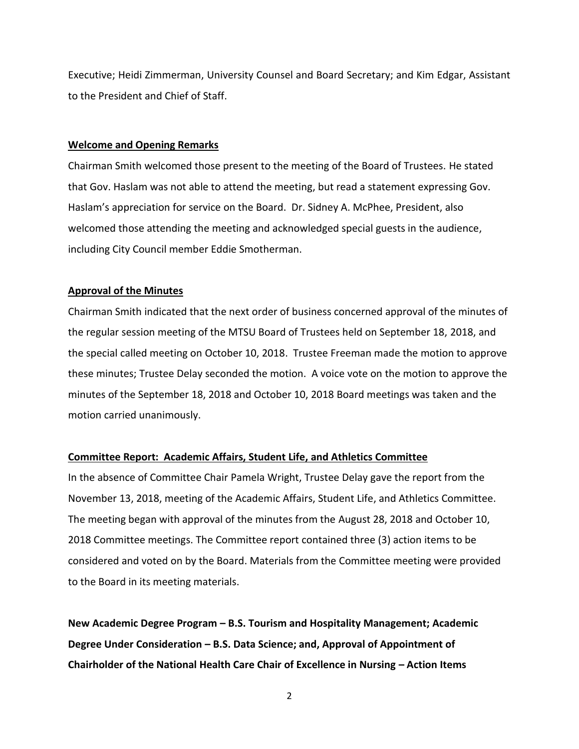Executive; Heidi Zimmerman, University Counsel and Board Secretary; and Kim Edgar, Assistant to the President and Chief of Staff.

# **Welcome and Opening Remarks**

Chairman Smith welcomed those present to the meeting of the Board of Trustees. He stated that Gov. Haslam was not able to attend the meeting, but read a statement expressing Gov. Haslam's appreciation for service on the Board. Dr. Sidney A. McPhee, President, also welcomed those attending the meeting and acknowledged special guests in the audience, including City Council member Eddie Smotherman.

### **Approval of the Minutes**

Chairman Smith indicated that the next order of business concerned approval of the minutes of the regular session meeting of the MTSU Board of Trustees held on September 18, 2018, and the special called meeting on October 10, 2018. Trustee Freeman made the motion to approve these minutes; Trustee Delay seconded the motion. A voice vote on the motion to approve the minutes of the September 18, 2018 and October 10, 2018 Board meetings was taken and the motion carried unanimously.

# **Committee Report: Academic Affairs, Student Life, and Athletics Committee**

In the absence of Committee Chair Pamela Wright, Trustee Delay gave the report from the November 13, 2018, meeting of the Academic Affairs, Student Life, and Athletics Committee. The meeting began with approval of the minutes from the August 28, 2018 and October 10, 2018 Committee meetings. The Committee report contained three (3) action items to be considered and voted on by the Board. Materials from the Committee meeting were provided to the Board in its meeting materials.

**New Academic Degree Program – B.S. Tourism and Hospitality Management; Academic Degree Under Consideration – B.S. Data Science; and, Approval of Appointment of Chairholder of the National Health Care Chair of Excellence in Nursing – Action Items**

<sup>2</sup>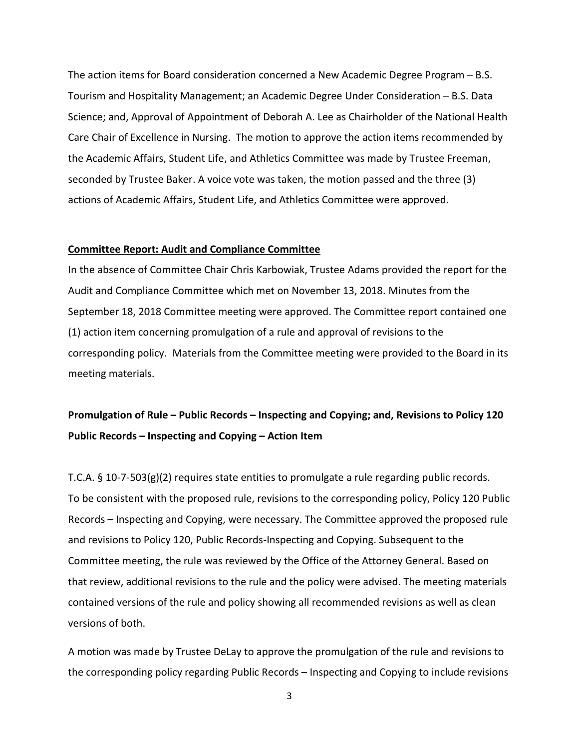The action items for Board consideration concerned a New Academic Degree Program – B.S. Tourism and Hospitality Management; an Academic Degree Under Consideration – B.S. Data Science; and, Approval of Appointment of Deborah A. Lee as Chairholder of the National Health Care Chair of Excellence in Nursing. The motion to approve the action items recommended by the Academic Affairs, Student Life, and Athletics Committee was made by Trustee Freeman, seconded by Trustee Baker. A voice vote was taken, the motion passed and the three (3) actions of Academic Affairs, Student Life, and Athletics Committee were approved.

### **Committee Report: Audit and Compliance Committee**

In the absence of Committee Chair Chris Karbowiak, Trustee Adams provided the report for the Audit and Compliance Committee which met on November 13, 2018. Minutes from the September 18, 2018 Committee meeting were approved. The Committee report contained one (1) action item concerning promulgation of a rule and approval of revisions to the corresponding policy. Materials from the Committee meeting were provided to the Board in its meeting materials.

# **Promulgation of Rule – Public Records – Inspecting and Copying; and, Revisions to Policy 120 Public Records – Inspecting and Copying – Action Item**

T.C.A. § 10-7-503(g)(2) requires state entities to promulgate a rule regarding public records. To be consistent with the proposed rule, revisions to the corresponding policy, Policy 120 Public Records – Inspecting and Copying, were necessary. The Committee approved the proposed rule and revisions to Policy 120, Public Records-Inspecting and Copying. Subsequent to the Committee meeting, the rule was reviewed by the Office of the Attorney General. Based on that review, additional revisions to the rule and the policy were advised. The meeting materials contained versions of the rule and policy showing all recommended revisions as well as clean versions of both.

A motion was made by Trustee DeLay to approve the promulgation of the rule and revisions to the corresponding policy regarding Public Records – Inspecting and Copying to include revisions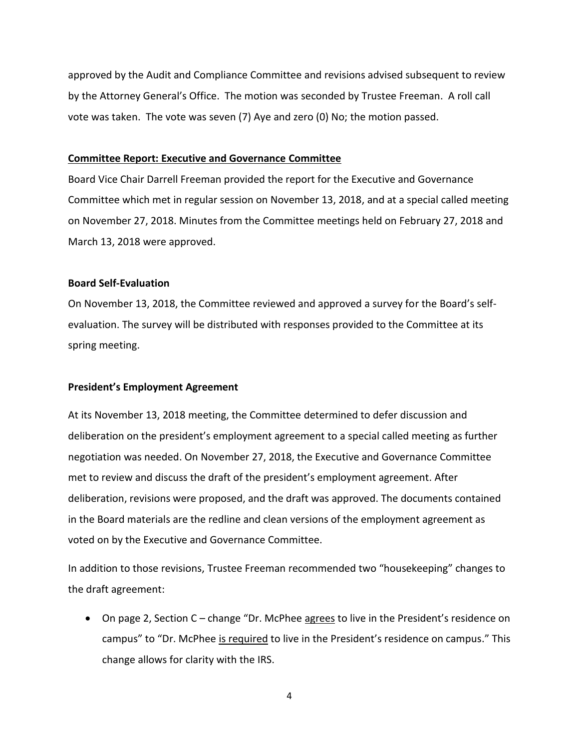approved by the Audit and Compliance Committee and revisions advised subsequent to review by the Attorney General's Office. The motion was seconded by Trustee Freeman. A roll call vote was taken. The vote was seven (7) Aye and zero (0) No; the motion passed.

### **Committee Report: Executive and Governance Committee**

Board Vice Chair Darrell Freeman provided the report for the Executive and Governance Committee which met in regular session on November 13, 2018, and at a special called meeting on November 27, 2018. Minutes from the Committee meetings held on February 27, 2018 and March 13, 2018 were approved.

# **Board Self-Evaluation**

On November 13, 2018, the Committee reviewed and approved a survey for the Board's selfevaluation. The survey will be distributed with responses provided to the Committee at its spring meeting.

### **President's Employment Agreement**

At its November 13, 2018 meeting, the Committee determined to defer discussion and deliberation on the president's employment agreement to a special called meeting as further negotiation was needed. On November 27, 2018, the Executive and Governance Committee met to review and discuss the draft of the president's employment agreement. After deliberation, revisions were proposed, and the draft was approved. The documents contained in the Board materials are the redline and clean versions of the employment agreement as voted on by the Executive and Governance Committee.

In addition to those revisions, Trustee Freeman recommended two "housekeeping" changes to the draft agreement:

• On page 2, Section C – change "Dr. McPhee **agrees** to live in the President's residence on campus" to "Dr. McPhee is required to live in the President's residence on campus." This change allows for clarity with the IRS.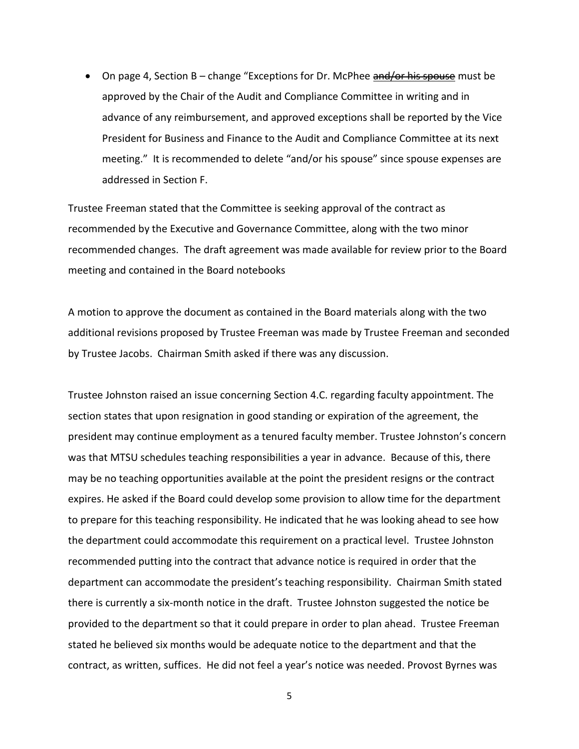• On page 4, Section B – change "Exceptions for Dr. McPhee and for his spouse must be approved by the Chair of the Audit and Compliance Committee in writing and in advance of any reimbursement, and approved exceptions shall be reported by the Vice President for Business and Finance to the Audit and Compliance Committee at its next meeting." It is recommended to delete "and/or his spouse" since spouse expenses are addressed in Section F.

Trustee Freeman stated that the Committee is seeking approval of the contract as recommended by the Executive and Governance Committee, along with the two minor recommended changes. The draft agreement was made available for review prior to the Board meeting and contained in the Board notebooks

A motion to approve the document as contained in the Board materials along with the two additional revisions proposed by Trustee Freeman was made by Trustee Freeman and seconded by Trustee Jacobs. Chairman Smith asked if there was any discussion.

Trustee Johnston raised an issue concerning Section 4.C. regarding faculty appointment. The section states that upon resignation in good standing or expiration of the agreement, the president may continue employment as a tenured faculty member. Trustee Johnston's concern was that MTSU schedules teaching responsibilities a year in advance. Because of this, there may be no teaching opportunities available at the point the president resigns or the contract expires. He asked if the Board could develop some provision to allow time for the department to prepare for this teaching responsibility. He indicated that he was looking ahead to see how the department could accommodate this requirement on a practical level. Trustee Johnston recommended putting into the contract that advance notice is required in order that the department can accommodate the president's teaching responsibility. Chairman Smith stated there is currently a six-month notice in the draft. Trustee Johnston suggested the notice be provided to the department so that it could prepare in order to plan ahead. Trustee Freeman stated he believed six months would be adequate notice to the department and that the contract, as written, suffices. He did not feel a year's notice was needed. Provost Byrnes was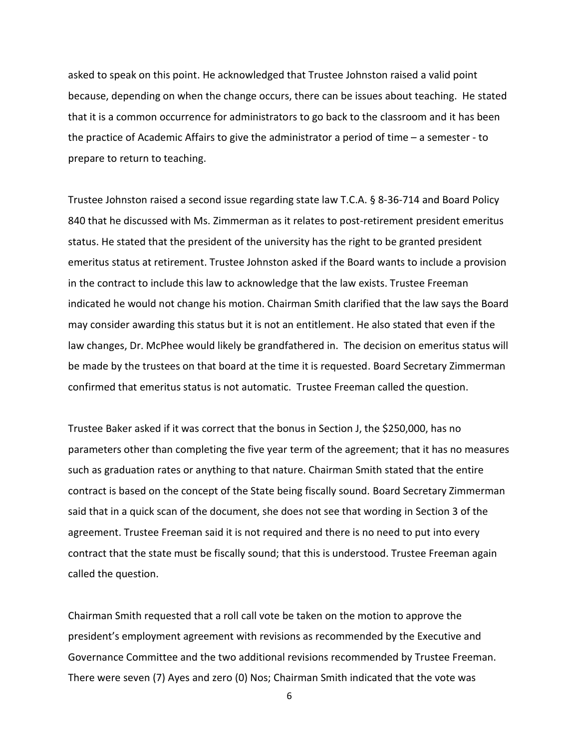asked to speak on this point. He acknowledged that Trustee Johnston raised a valid point because, depending on when the change occurs, there can be issues about teaching. He stated that it is a common occurrence for administrators to go back to the classroom and it has been the practice of Academic Affairs to give the administrator a period of time – a semester - to prepare to return to teaching.

Trustee Johnston raised a second issue regarding state law T.C.A. § 8-36-714 and Board Policy 840 that he discussed with Ms. Zimmerman as it relates to post-retirement president emeritus status. He stated that the president of the university has the right to be granted president emeritus status at retirement. Trustee Johnston asked if the Board wants to include a provision in the contract to include this law to acknowledge that the law exists. Trustee Freeman indicated he would not change his motion. Chairman Smith clarified that the law says the Board may consider awarding this status but it is not an entitlement. He also stated that even if the law changes, Dr. McPhee would likely be grandfathered in. The decision on emeritus status will be made by the trustees on that board at the time it is requested. Board Secretary Zimmerman confirmed that emeritus status is not automatic. Trustee Freeman called the question.

Trustee Baker asked if it was correct that the bonus in Section J, the \$250,000, has no parameters other than completing the five year term of the agreement; that it has no measures such as graduation rates or anything to that nature. Chairman Smith stated that the entire contract is based on the concept of the State being fiscally sound. Board Secretary Zimmerman said that in a quick scan of the document, she does not see that wording in Section 3 of the agreement. Trustee Freeman said it is not required and there is no need to put into every contract that the state must be fiscally sound; that this is understood. Trustee Freeman again called the question.

Chairman Smith requested that a roll call vote be taken on the motion to approve the president's employment agreement with revisions as recommended by the Executive and Governance Committee and the two additional revisions recommended by Trustee Freeman. There were seven (7) Ayes and zero (0) Nos; Chairman Smith indicated that the vote was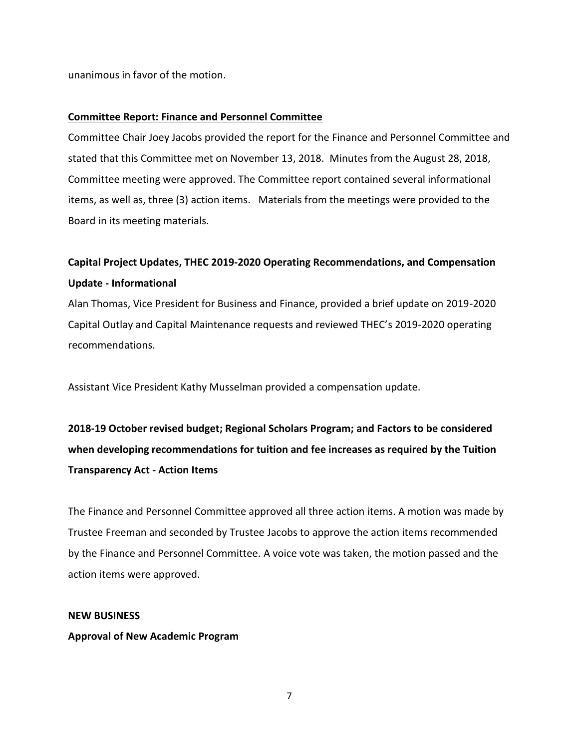unanimous in favor of the motion.

# **Committee Report: Finance and Personnel Committee**

Committee Chair Joey Jacobs provided the report for the Finance and Personnel Committee and stated that this Committee met on November 13, 2018. Minutes from the August 28, 2018, Committee meeting were approved. The Committee report contained several informational items, as well as, three (3) action items. Materials from the meetings were provided to the Board in its meeting materials.

# **Capital Project Updates, THEC 2019-2020 Operating Recommendations, and Compensation Update - Informational**

Alan Thomas, Vice President for Business and Finance, provided a brief update on 2019-2020 Capital Outlay and Capital Maintenance requests and reviewed THEC's 2019-2020 operating recommendations.

Assistant Vice President Kathy Musselman provided a compensation update.

**2018-19 October revised budget; Regional Scholars Program; and Factors to be considered when developing recommendations for tuition and fee increases as required by the Tuition Transparency Act - Action Items** 

The Finance and Personnel Committee approved all three action items. A motion was made by Trustee Freeman and seconded by Trustee Jacobs to approve the action items recommended by the Finance and Personnel Committee. A voice vote was taken, the motion passed and the action items were approved.

# **NEW BUSINESS**

# **Approval of New Academic Program**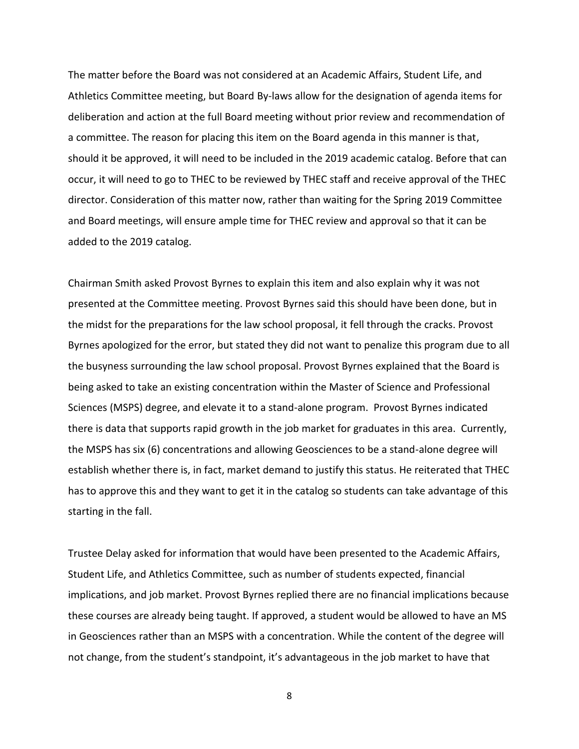The matter before the Board was not considered at an Academic Affairs, Student Life, and Athletics Committee meeting, but Board By-laws allow for the designation of agenda items for deliberation and action at the full Board meeting without prior review and recommendation of a committee. The reason for placing this item on the Board agenda in this manner is that, should it be approved, it will need to be included in the 2019 academic catalog. Before that can occur, it will need to go to THEC to be reviewed by THEC staff and receive approval of the THEC director. Consideration of this matter now, rather than waiting for the Spring 2019 Committee and Board meetings, will ensure ample time for THEC review and approval so that it can be added to the 2019 catalog.

Chairman Smith asked Provost Byrnes to explain this item and also explain why it was not presented at the Committee meeting. Provost Byrnes said this should have been done, but in the midst for the preparations for the law school proposal, it fell through the cracks. Provost Byrnes apologized for the error, but stated they did not want to penalize this program due to all the busyness surrounding the law school proposal. Provost Byrnes explained that the Board is being asked to take an existing concentration within the Master of Science and Professional Sciences (MSPS) degree, and elevate it to a stand-alone program. Provost Byrnes indicated there is data that supports rapid growth in the job market for graduates in this area. Currently, the MSPS has six (6) concentrations and allowing Geosciences to be a stand-alone degree will establish whether there is, in fact, market demand to justify this status. He reiterated that THEC has to approve this and they want to get it in the catalog so students can take advantage of this starting in the fall.

Trustee Delay asked for information that would have been presented to the Academic Affairs, Student Life, and Athletics Committee, such as number of students expected, financial implications, and job market. Provost Byrnes replied there are no financial implications because these courses are already being taught. If approved, a student would be allowed to have an MS in Geosciences rather than an MSPS with a concentration. While the content of the degree will not change, from the student's standpoint, it's advantageous in the job market to have that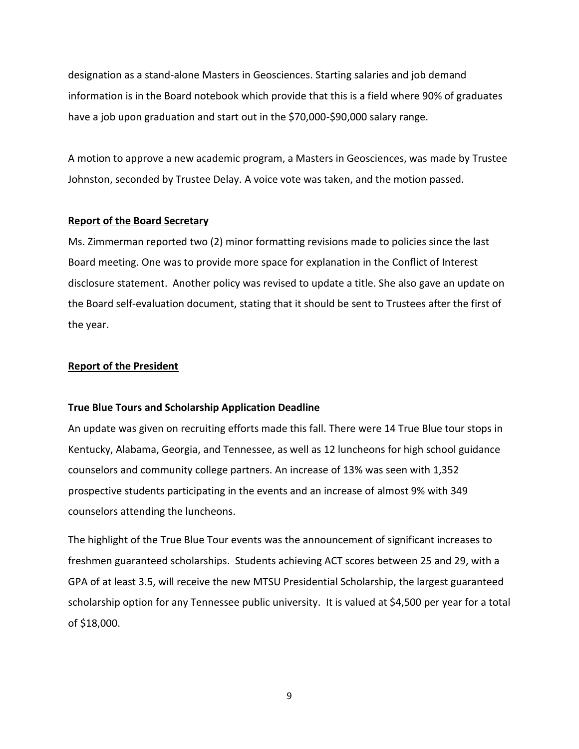designation as a stand-alone Masters in Geosciences. Starting salaries and job demand information is in the Board notebook which provide that this is a field where 90% of graduates have a job upon graduation and start out in the \$70,000-\$90,000 salary range.

A motion to approve a new academic program, a Masters in Geosciences, was made by Trustee Johnston, seconded by Trustee Delay. A voice vote was taken, and the motion passed.

### **Report of the Board Secretary**

Ms. Zimmerman reported two (2) minor formatting revisions made to policies since the last Board meeting. One was to provide more space for explanation in the Conflict of Interest disclosure statement. Another policy was revised to update a title. She also gave an update on the Board self-evaluation document, stating that it should be sent to Trustees after the first of the year.

# **Report of the President**

### **True Blue Tours and Scholarship Application Deadline**

An update was given on recruiting efforts made this fall. There were 14 True Blue tour stops in Kentucky, Alabama, Georgia, and Tennessee, as well as 12 luncheons for high school guidance counselors and community college partners. An increase of 13% was seen with 1,352 prospective students participating in the events and an increase of almost 9% with 349 counselors attending the luncheons.

The highlight of the True Blue Tour events was the announcement of significant increases to freshmen guaranteed scholarships. Students achieving ACT scores between 25 and 29, with a GPA of at least 3.5, will receive the new MTSU Presidential Scholarship, the largest guaranteed scholarship option for any Tennessee public university. It is valued at \$4,500 per year for a total of \$18,000.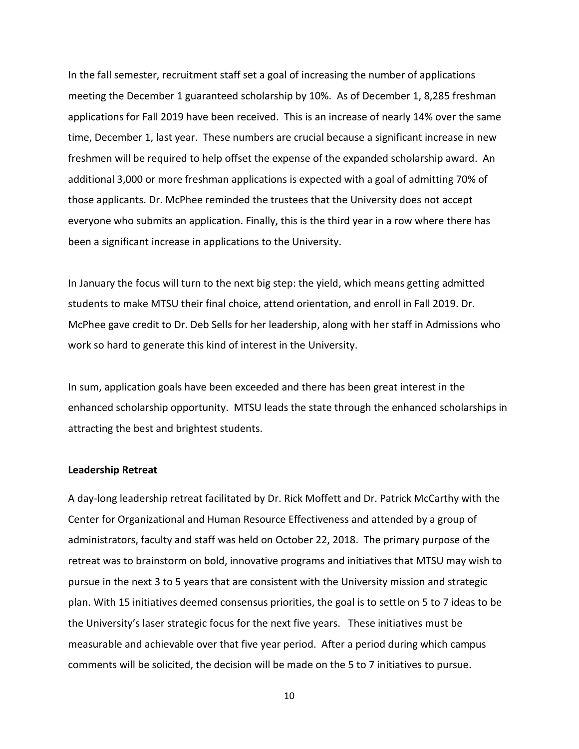In the fall semester, recruitment staff set a goal of increasing the number of applications meeting the December 1 guaranteed scholarship by 10%. As of December 1, 8,285 freshman applications for Fall 2019 have been received. This is an increase of nearly 14% over the same time, December 1, last year. These numbers are crucial because a significant increase in new freshmen will be required to help offset the expense of the expanded scholarship award. An additional 3,000 or more freshman applications is expected with a goal of admitting 70% of those applicants. Dr. McPhee reminded the trustees that the University does not accept everyone who submits an application. Finally, this is the third year in a row where there has been a significant increase in applications to the University.

In January the focus will turn to the next big step: the yield, which means getting admitted students to make MTSU their final choice, attend orientation, and enroll in Fall 2019. Dr. McPhee gave credit to Dr. Deb Sells for her leadership, along with her staff in Admissions who work so hard to generate this kind of interest in the University.

In sum, application goals have been exceeded and there has been great interest in the enhanced scholarship opportunity. MTSU leads the state through the enhanced scholarships in attracting the best and brightest students.

### **Leadership Retreat**

A day-long leadership retreat facilitated by Dr. Rick Moffett and Dr. Patrick McCarthy with the Center for Organizational and Human Resource Effectiveness and attended by a group of administrators, faculty and staff was held on October 22, 2018. The primary purpose of the retreat was to brainstorm on bold, innovative programs and initiatives that MTSU may wish to pursue in the next 3 to 5 years that are consistent with the University mission and strategic plan. With 15 initiatives deemed consensus priorities, the goal is to settle on 5 to 7 ideas to be the University's laser strategic focus for the next five years. These initiatives must be measurable and achievable over that five year period. After a period during which campus comments will be solicited, the decision will be made on the 5 to 7 initiatives to pursue.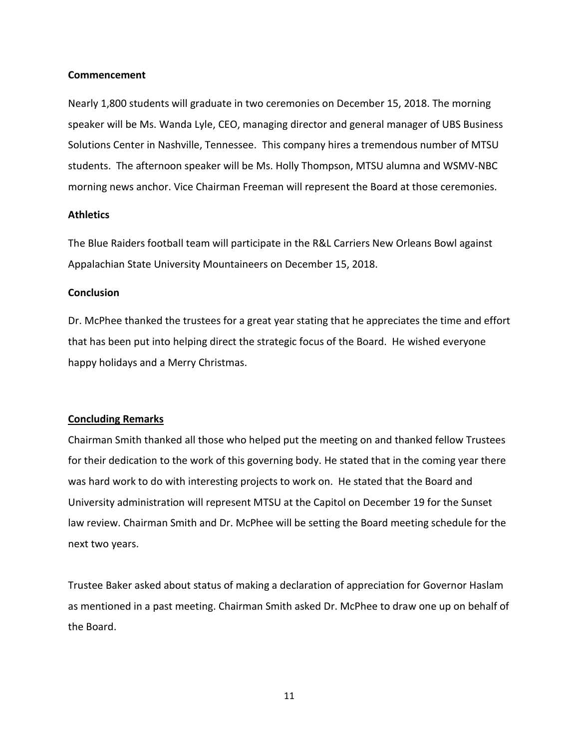### **Commencement**

Nearly 1,800 students will graduate in two ceremonies on December 15, 2018. The morning speaker will be Ms. Wanda Lyle, CEO, managing director and general manager of UBS Business Solutions Center in Nashville, Tennessee. This company hires a tremendous number of MTSU students. The afternoon speaker will be Ms. Holly Thompson, MTSU alumna and WSMV-NBC morning news anchor. Vice Chairman Freeman will represent the Board at those ceremonies.

# **Athletics**

The Blue Raiders football team will participate in the R&L Carriers New Orleans Bowl against Appalachian State University Mountaineers on December 15, 2018.

# **Conclusion**

Dr. McPhee thanked the trustees for a great year stating that he appreciates the time and effort that has been put into helping direct the strategic focus of the Board. He wished everyone happy holidays and a Merry Christmas.

# **Concluding Remarks**

Chairman Smith thanked all those who helped put the meeting on and thanked fellow Trustees for their dedication to the work of this governing body. He stated that in the coming year there was hard work to do with interesting projects to work on. He stated that the Board and University administration will represent MTSU at the Capitol on December 19 for the Sunset law review. Chairman Smith and Dr. McPhee will be setting the Board meeting schedule for the next two years.

Trustee Baker asked about status of making a declaration of appreciation for Governor Haslam as mentioned in a past meeting. Chairman Smith asked Dr. McPhee to draw one up on behalf of the Board.